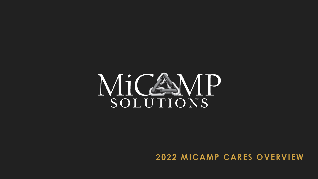## MiCAMP SOLUTIONS

## **2022 MICAMP CARES OVERVIEW**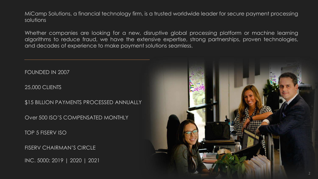MiCamp Solutions, a financial technology firm, is a trusted worldwide leader for secure payment processing solutions

Whether companies are looking for a new, disruptive global processing platform or machine learning algorithms to reduce fraud, we have the extensive expertise, strong partnerships, proven technologies, and decades of experience to make payment solutions seamless.

FOUNDED IN 2007

25,000 CLIENTS

\$15 BILLION PAYMENTS PROCESSED ANNUALLY

Over 500 ISO'S COMPENSATED MONTHLY

TOP 5 FISERV ISO

FISERV CHAIRMAN'S CIRCLE

INC. 5000: 2019 | 2020 | 2021